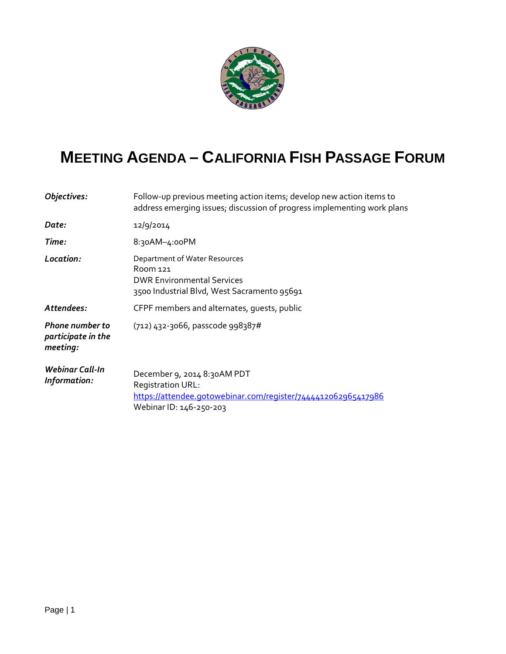

## **MEETING AGENDA – CALIFORNIA FISH PASSAGE FORUM**

| Objectives:                                              | Follow-up previous meeting action items; develop new action items to<br>address emerging issues; discussion of progress implementing work plans |
|----------------------------------------------------------|-------------------------------------------------------------------------------------------------------------------------------------------------|
| Date:                                                    | 12/9/2014                                                                                                                                       |
| Time:                                                    | 8:30AM-4:00PM                                                                                                                                   |
| Location:                                                | Department of Water Resources<br>Room 121<br><b>DWR Environmental Services</b><br>3500 Industrial Blvd, West Sacramento 95691                   |
| Attendees:                                               | CFPF members and alternates, quests, public                                                                                                     |
| <b>Phone number to</b><br>participate in the<br>meeting: | (712) 432-3066, passcode 998387#                                                                                                                |
| Webinar Call-In<br>Information:                          | December 9, 2014 8:30AM PDT<br>Registration URL:<br>https://attendee.gotowebinar.com/register/7444412062965417986<br>Webinar ID: 146-250-203    |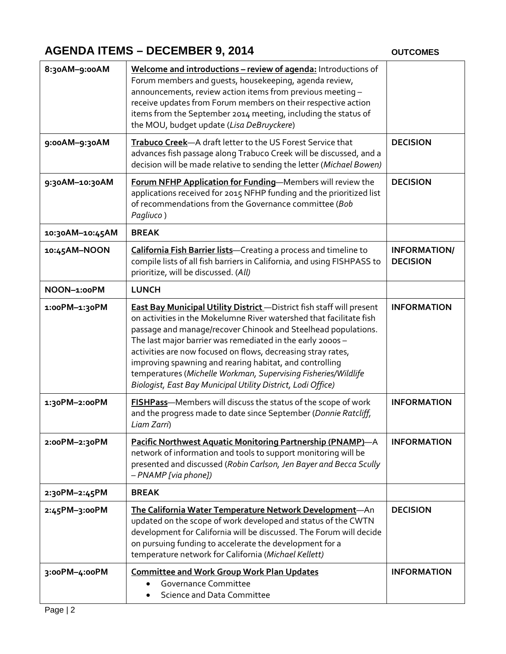## **AGENDA ITEMS – DECEMBER 9, 2014**

**OUTCOMES**

| 8:30AM-9:00AM   | Welcome and introductions - review of agenda: Introductions of<br>Forum members and guests, housekeeping, agenda review,<br>announcements, review action items from previous meeting -<br>receive updates from Forum members on their respective action<br>items from the September 2014 meeting, including the status of<br>the MOU, budget update (Lisa DeBruyckere)                                                                                                                                                                           |                                        |
|-----------------|--------------------------------------------------------------------------------------------------------------------------------------------------------------------------------------------------------------------------------------------------------------------------------------------------------------------------------------------------------------------------------------------------------------------------------------------------------------------------------------------------------------------------------------------------|----------------------------------------|
| 9:00AM-9:30AM   | Trabuco Creek-A draft letter to the US Forest Service that<br>advances fish passage along Trabuco Creek will be discussed, and a<br>decision will be made relative to sending the letter (Michael Bowen)                                                                                                                                                                                                                                                                                                                                         | <b>DECISION</b>                        |
| 9:30AM-10:30AM  | Forum NFHP Application for Funding-Members will review the<br>applications received for 2015 NFHP funding and the prioritized list<br>of recommendations from the Governance committee (Bob<br>Pagliuco)                                                                                                                                                                                                                                                                                                                                         | <b>DECISION</b>                        |
| 10:30AM-10:45AM | <b>BREAK</b>                                                                                                                                                                                                                                                                                                                                                                                                                                                                                                                                     |                                        |
| 10:45AM-NOON    | California Fish Barrier lists-Creating a process and timeline to<br>compile lists of all fish barriers in California, and using FISHPASS to<br>prioritize, will be discussed. (All)                                                                                                                                                                                                                                                                                                                                                              | <b>INFORMATION/</b><br><b>DECISION</b> |
| NOON-1:00PM     | <b>LUNCH</b>                                                                                                                                                                                                                                                                                                                                                                                                                                                                                                                                     |                                        |
| 1:00PM-1:30PM   | <b>East Bay Municipal Utility District</b> - District fish staff will present<br>on activities in the Mokelumne River watershed that facilitate fish<br>passage and manage/recover Chinook and Steelhead populations.<br>The last major barrier was remediated in the early 2000s -<br>activities are now focused on flows, decreasing stray rates,<br>improving spawning and rearing habitat, and controlling<br>temperatures (Michelle Workman, Supervising Fisheries/Wildlife<br>Biologist, East Bay Municipal Utility District, Lodi Office) | <b>INFORMATION</b>                     |
| 1:30PM-2:00PM   | FISHPass-Members will discuss the status of the scope of work<br>and the progress made to date since September (Donnie Ratcliff,<br>Liam Zarri)                                                                                                                                                                                                                                                                                                                                                                                                  | <b>INFORMATION</b>                     |
| 2:00PM-2:30PM   | Pacific Northwest Aquatic Monitoring Partnership (PNAMP)-A<br>network of information and tools to support monitoring will be<br>presented and discussed (Robin Carlson, Jen Bayer and Becca Scully<br>- PNAMP [via phone])                                                                                                                                                                                                                                                                                                                       | <b>INFORMATION</b>                     |
| 2:30PM-2:45PM   | <b>BREAK</b>                                                                                                                                                                                                                                                                                                                                                                                                                                                                                                                                     |                                        |
| 2:45PM-3:00PM   | The California Water Temperature Network Development-An<br>updated on the scope of work developed and status of the CWTN<br>development for California will be discussed. The Forum will decide<br>on pursuing funding to accelerate the development for a<br>temperature network for California (Michael Kellett)                                                                                                                                                                                                                               | <b>DECISION</b>                        |
| 3:00PM-4:00PM   | <b>Committee and Work Group Work Plan Updates</b><br>Governance Committee<br>Science and Data Committee                                                                                                                                                                                                                                                                                                                                                                                                                                          | <b>INFORMATION</b>                     |